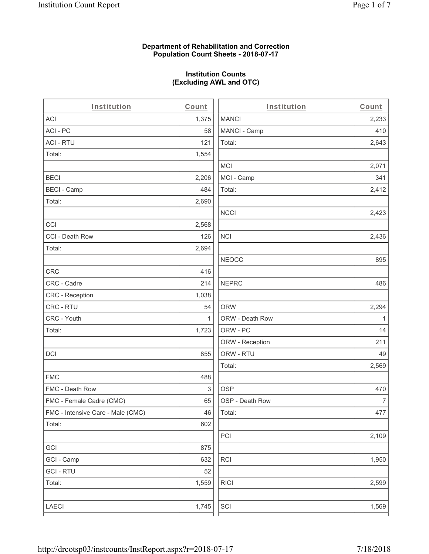### **Department of Rehabilitation and Correction Population Count Sheets - 2018-07-17**

## **Institution Counts (Excluding AWL and OTC)**

. .

| Institution                       | Count        | Institution     | Count        |
|-----------------------------------|--------------|-----------------|--------------|
| ACI                               | 1,375        | <b>MANCI</b>    | 2,233        |
| ACI-PC                            | 58           | MANCI - Camp    | 410          |
| <b>ACI - RTU</b>                  | 121          | Total:          | 2,643        |
| Total:                            | 1,554        |                 |              |
|                                   |              | <b>MCI</b>      | 2,071        |
| <b>BECI</b>                       | 2,206        | MCI - Camp      | 341          |
| <b>BECI - Camp</b>                | 484          | Total:          | 2,412        |
| Total:                            | 2,690        |                 |              |
|                                   |              | <b>NCCI</b>     | 2,423        |
| CCI                               | 2,568        |                 |              |
| CCI - Death Row                   | 126          | $\sf NCI$       | 2,436        |
| Total:                            | 2,694        |                 |              |
|                                   |              | <b>NEOCC</b>    | 895          |
| <b>CRC</b>                        | 416          |                 |              |
| CRC - Cadre                       | 214          | <b>NEPRC</b>    | 486          |
| CRC - Reception                   | 1,038        |                 |              |
| CRC - RTU                         | 54           | <b>ORW</b>      | 2,294        |
| CRC - Youth                       | $\mathbf{1}$ | ORW - Death Row | $\mathbf{1}$ |
| Total:                            | 1,723        | ORW - PC        | 14           |
|                                   |              | ORW - Reception | 211          |
| DCI                               | 855          | ORW - RTU       | 49           |
|                                   |              | Total:          | 2,569        |
| <b>FMC</b>                        | 488          |                 |              |
| FMC - Death Row                   | 3            | <b>OSP</b>      | 470          |
| FMC - Female Cadre (CMC)          | 65           | OSP - Death Row | 7            |
| FMC - Intensive Care - Male (CMC) | 46           | Total:          | 477          |
| Total:                            | 602          |                 |              |
|                                   |              | PCI             | 2,109        |
| GCI                               | 875          |                 |              |
| GCI - Camp                        | 632          | RCI             | 1,950        |
| <b>GCI - RTU</b>                  | 52           |                 |              |
| Total:                            | 1,559        | <b>RICI</b>     | 2,599        |
|                                   |              |                 |              |
| LAECI                             | 1,745        | SCI             | 1,569        |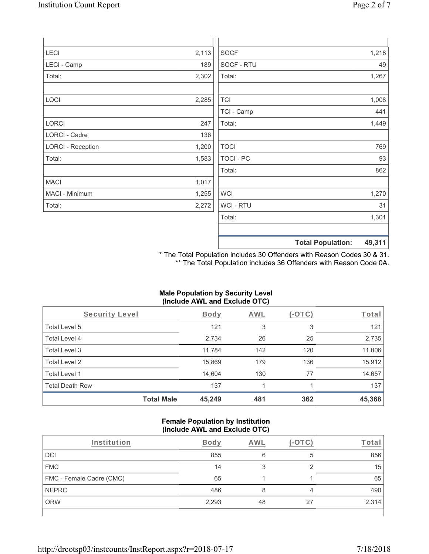| LECI                     | 2,113 | <b>SOCF</b>    |                          | 1,218  |
|--------------------------|-------|----------------|--------------------------|--------|
| LECI - Camp              | 189   | SOCF - RTU     |                          | 49     |
| Total:                   | 2,302 | Total:         |                          | 1,267  |
|                          |       |                |                          |        |
| LOCI                     | 2,285 | <b>TCI</b>     |                          | 1,008  |
|                          |       | TCI - Camp     |                          | 441    |
| LORCI                    | 247   | Total:         |                          | 1,449  |
| <b>LORCI - Cadre</b>     | 136   |                |                          |        |
| <b>LORCI - Reception</b> | 1,200 | <b>TOCI</b>    |                          | 769    |
| Total:                   | 1,583 | TOCI - PC      |                          | 93     |
|                          |       | Total:         |                          | 862    |
| <b>MACI</b>              | 1,017 |                |                          |        |
| MACI - Minimum           | 1,255 | <b>WCI</b>     |                          | 1,270  |
| Total:                   | 2,272 | <b>WCI-RTU</b> |                          | 31     |
|                          |       | Total:         |                          | 1,301  |
|                          |       |                |                          |        |
|                          |       |                | <b>Total Population:</b> | 49,311 |

\* The Total Population includes 30 Offenders with Reason Codes 30 & 31. \*\* The Total Population includes 36 Offenders with Reason Code 0A.

## **Male Population by Security Level (Include AWL and Exclude OTC)**

| Security Level         |                   | <b>Body</b> | <b>AWL</b> | $(-\text{OTC})$ | Total  |
|------------------------|-------------------|-------------|------------|-----------------|--------|
| Total Level 5          |                   | 121         | 3          | 3               | 121    |
| Total Level 4          |                   | 2,734       | 26         | 25              | 2,735  |
| Total Level 3          |                   | 11,784      | 142        | 120             | 11,806 |
| Total Level 2          |                   | 15,869      | 179        | 136             | 15,912 |
| Total Level 1          |                   | 14,604      | 130        | 77              | 14,657 |
| <b>Total Death Row</b> |                   | 137         |            |                 | 137    |
|                        | <b>Total Male</b> | 45,249      | 481        | 362             | 45,368 |

#### **Female Population by Institution (Include AWL and Exclude OTC)**

| Institution              | <b>Body</b> | AWL |    | Гоtа  |
|--------------------------|-------------|-----|----|-------|
| DCI                      | 855         | 6   | 5  | 856   |
| <b>FMC</b>               | 14          |     |    | 15    |
| FMC - Female Cadre (CMC) | 65          |     |    | 65    |
| <b>NEPRC</b>             | 486         |     | 4  | 490   |
| <b>ORW</b>               | 2,293       | 48  | 27 | 2,314 |
|                          |             |     |    |       |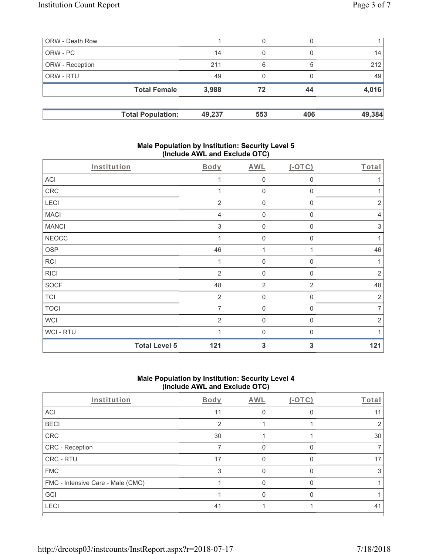| <b>ORW</b> - Death Row |                          |        | 0   |     |        |
|------------------------|--------------------------|--------|-----|-----|--------|
| ORW - PC               |                          | 14     | 0   |     | 14     |
| <b>ORW</b> - Reception |                          | 211    | 6   | 5   | 212    |
| ORW - RTU              |                          | 49     | 0   |     | 49     |
|                        | <b>Total Female</b>      | 3,988  | 72  | 44  | 4,016  |
|                        | <b>Total Population:</b> | 49,237 | 553 | 406 | 49,384 |

### **Male Population by Institution: Security Level 5 (Include AWL and Exclude OTC)**

| Institution  |                      | Body                      | AWL                 | $(-OTC)$       | Total          |
|--------------|----------------------|---------------------------|---------------------|----------------|----------------|
| ACI          |                      |                           | $\mathbf 0$         | 0              | 1              |
| CRC          |                      |                           | $\mathbf 0$         | 0              | 1              |
| LECI         |                      | $\overline{2}$            | $\mathbf 0$         | 0              | $\sqrt{2}$     |
| <b>MACI</b>  |                      | 4                         | $\mathbf 0$         | $\mathbf 0$    | $\overline{4}$ |
| <b>MANCI</b> |                      | $\ensuremath{\mathsf{3}}$ | $\mathbf 0$         | 0              | $\sqrt{3}$     |
| <b>NEOCC</b> |                      |                           | $\mathsf{O}\xspace$ | $\mathbf{0}$   |                |
| <b>OSP</b>   |                      | 46                        | 1                   |                | 46             |
| <b>RCI</b>   |                      |                           | $\mathbf 0$         | 0              | 1              |
| <b>RICI</b>  |                      | 2                         | $\mathbf 0$         | $\mathbf 0$    | $\overline{2}$ |
| <b>SOCF</b>  |                      | 48                        | $\overline{2}$      | $\overline{2}$ | 48             |
| <b>TCI</b>   |                      | $\overline{2}$            | $\mathbf 0$         | 0              | $\sqrt{2}$     |
| <b>TOCI</b>  |                      | 7                         | $\mathsf{O}\xspace$ | $\mathbf 0$    | $\overline{7}$ |
| <b>WCI</b>   |                      | $\overline{2}$            | $\mathbf 0$         | $\mathbf{0}$   | $\overline{2}$ |
| WCI - RTU    |                      |                           | $\mathbf 0$         | 0              |                |
|              | <b>Total Level 5</b> | 121                       | 3                   | 3              | 121            |

# **Male Population by Institution: Security Level 4 (Include AWL and Exclude OTC)**

| Institution                       | Body | AWL | $(-OTC)$ | Total |
|-----------------------------------|------|-----|----------|-------|
| ACI                               | 11   |     |          | 11    |
| <b>BECI</b>                       | 2    |     |          |       |
| CRC                               | 30   |     |          | 30    |
| CRC - Reception                   |      |     |          |       |
| CRC - RTU                         | 17   |     |          | 17    |
| <b>FMC</b>                        | 3    |     |          |       |
| FMC - Intensive Care - Male (CMC) |      |     |          |       |
| GCI                               |      |     |          |       |
| LECI                              | 41   |     |          | 41    |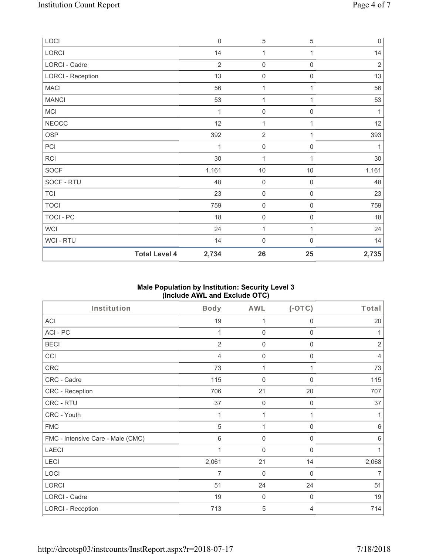| LOCI                     |                      | $\mathbf 0$    | $\,$ 5 $\,$         | 5                   | $\overline{0}$ |
|--------------------------|----------------------|----------------|---------------------|---------------------|----------------|
| LORCI                    |                      | 14             | 1                   | 1                   | 14             |
| LORCI - Cadre            |                      | $\overline{2}$ | $\mathsf{O}\xspace$ | 0                   | $\sqrt{2}$     |
| <b>LORCI - Reception</b> |                      | 13             | $\mathbf 0$         | 0                   | 13             |
| <b>MACI</b>              |                      | 56             | 1                   | 1                   | 56             |
| <b>MANCI</b>             |                      | 53             | $\mathbf{1}$        | 1                   | 53             |
| MCI                      |                      | 1              | $\mathbf 0$         | $\mathsf 0$         | 1              |
| <b>NEOCC</b>             |                      | 12             | 1                   | 1                   | 12             |
| OSP                      |                      | 392            | $\overline{2}$      | 1                   | 393            |
| PCI                      |                      | 1              | $\mathsf{O}\xspace$ | 0                   | 1              |
| RCI                      |                      | 30             | $\mathbf{1}$        | 1                   | $30\,$         |
| SOCF                     |                      | 1,161          | $10$                | $10$                | 1,161          |
| SOCF - RTU               |                      | 48             | $\mathsf{O}\xspace$ | $\mathsf{O}\xspace$ | 48             |
| <b>TCI</b>               |                      | 23             | $\mathsf{O}\xspace$ | $\mathsf{O}\xspace$ | 23             |
| <b>TOCI</b>              |                      | 759            | $\mathsf{O}\xspace$ | $\mathsf{O}\xspace$ | 759            |
| TOCI - PC                |                      | 18             | $\mathbf 0$         | $\mathsf{O}\xspace$ | 18             |
| WCI                      |                      | 24             | $\mathbf{1}$        | 1                   | 24             |
| WCI - RTU                |                      | 14             | $\mathbf 0$         | $\boldsymbol{0}$    | 14             |
|                          | <b>Total Level 4</b> | 2,734          | 26                  | 25                  | 2,735          |

## **Male Population by Institution: Security Level 3 (Include AWL and Exclude OTC)**

| Institution                       | Body           | AWL                 | $(-OTC)$    | Total          |
|-----------------------------------|----------------|---------------------|-------------|----------------|
| ACI                               | 19             | 1                   | 0           | 20             |
| ACI-PC                            | 1              | $\mathbf 0$         | 0           | 1              |
| <b>BECI</b>                       | $\overline{2}$ | 0                   | $\mathbf 0$ | $\overline{2}$ |
| CCI                               | 4              | $\mathbf 0$         | 0           | 4              |
| CRC                               | 73             | 1                   | 1           | 73             |
| CRC - Cadre                       | 115            | $\mathbf 0$         | 0           | 115            |
| <b>CRC - Reception</b>            | 706            | 21                  | 20          | 707            |
| CRC - RTU                         | 37             | $\mathbf 0$         | 0           | 37             |
| CRC - Youth                       |                | 1                   | 1           | 1              |
| <b>FMC</b>                        | 5              | 1                   | 0           | 6              |
| FMC - Intensive Care - Male (CMC) | 6              | $\mathsf{O}\xspace$ | 0           | 6              |
| <b>LAECI</b>                      | 1              | $\mathbf 0$         | 0           | 1              |
| LECI                              | 2,061          | 21                  | 14          | 2,068          |
| LOCI                              | $\overline{7}$ | $\mathbf 0$         | $\mathbf 0$ | $\overline{7}$ |
| LORCI                             | 51             | 24                  | 24          | 51             |
| LORCI - Cadre                     | 19             | $\mathbf 0$         | 0           | 19             |
| <b>LORCI - Reception</b>          | 713            | 5                   | 4           | 714            |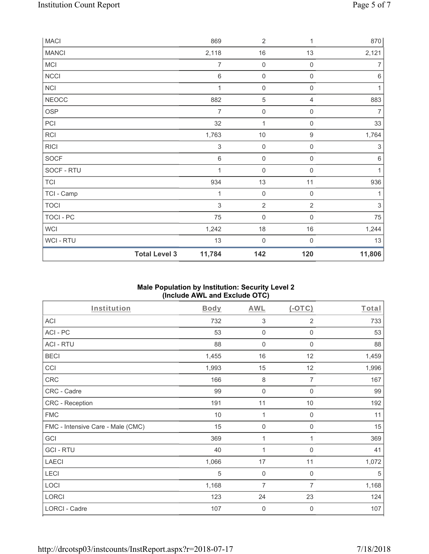| <b>MACI</b>  |                      | 869                       | $\sqrt{2}$          | 1                   | 870            |
|--------------|----------------------|---------------------------|---------------------|---------------------|----------------|
| <b>MANCI</b> |                      | 2,118                     | 16                  | 13                  | 2,121          |
| MCI          |                      | $\overline{7}$            | $\mathsf{O}\xspace$ | $\mathsf{O}\xspace$ | 7              |
| NCCI         |                      | $\,6$                     | $\mathsf{O}\xspace$ | $\boldsymbol{0}$    | $\,6\,$        |
| NCI          |                      | $\mathbf{1}$              | $\mathsf{O}\xspace$ | $\boldsymbol{0}$    | 1              |
| <b>NEOCC</b> |                      | 882                       | $\overline{5}$      | 4                   | 883            |
| OSP          |                      | $\overline{7}$            | $\boldsymbol{0}$    | $\mathbf 0$         | $\overline{7}$ |
| PCI          |                      | 32                        | $\mathbf{1}$        | $\mathsf{O}\xspace$ | 33             |
| RCI          |                      | 1,763                     | $10$                | $\boldsymbol{9}$    | 1,764          |
| <b>RICI</b>  |                      | $\ensuremath{\mathsf{3}}$ | $\mathsf{O}\xspace$ | 0                   | $\,$ 3 $\,$    |
| SOCF         |                      | $\,6$                     | $\boldsymbol{0}$    | $\boldsymbol{0}$    | $\,6\,$        |
| SOCF - RTU   |                      | 1                         | $\mathsf{O}\xspace$ | $\boldsymbol{0}$    | 1              |
| <b>TCI</b>   |                      | 934                       | 13                  | 11                  | 936            |
| TCI - Camp   |                      | 1                         | $\boldsymbol{0}$    | $\mathsf{O}\xspace$ | 1              |
| <b>TOCI</b>  |                      | $\mathfrak{S}$            | $\sqrt{2}$          | $\overline{2}$      | $\sqrt{3}$     |
| TOCI - PC    |                      | 75                        | $\mathbf 0$         | $\mathsf{O}\xspace$ | 75             |
| <b>WCI</b>   |                      | 1,242                     | $18$                | $16$                | 1,244          |
| WCI - RTU    |                      | 13                        | $\mathbf 0$         | $\mathbf 0$         | 13             |
|              | <b>Total Level 3</b> | 11,784                    | 142                 | 120                 | 11,806         |

## **Male Population by Institution: Security Level 2 (Include AWL and Exclude OTC)**

| Institution                       | <b>Body</b> | <b>AWL</b>          | $(-OTC)$            | Total |
|-----------------------------------|-------------|---------------------|---------------------|-------|
| ACI                               | 732         | $\sqrt{3}$          | 2                   | 733   |
| ACI-PC                            | 53          | $\mathbf 0$         | $\boldsymbol{0}$    | 53    |
| <b>ACI - RTU</b>                  | 88          | $\mathbf 0$         | $\boldsymbol{0}$    | 88    |
| <b>BECI</b>                       | 1,455       | 16                  | 12                  | 1,459 |
| CCI                               | 1,993       | 15                  | 12                  | 1,996 |
| CRC                               | 166         | $\,8\,$             | 7                   | 167   |
| CRC - Cadre                       | 99          | $\boldsymbol{0}$    | 0                   | 99    |
| CRC - Reception                   | 191         | 11                  | $10$                | 192   |
| <b>FMC</b>                        | 10          | 1                   | $\boldsymbol{0}$    | 11    |
| FMC - Intensive Care - Male (CMC) | 15          | $\mathbf 0$         | $\mathsf{O}\xspace$ | 15    |
| GCI                               | 369         | 1                   | 1                   | 369   |
| <b>GCI-RTU</b>                    | 40          | 1                   | $\boldsymbol{0}$    | 41    |
| <b>LAECI</b>                      | 1,066       | 17                  | 11                  | 1,072 |
| LECI                              | 5           | $\mathbf 0$         | $\mathbf 0$         | 5     |
| LOCI                              | 1,168       | $\overline{7}$      | $\overline{7}$      | 1,168 |
| LORCI                             | 123         | 24                  | 23                  | 124   |
| LORCI - Cadre                     | 107         | $\mathsf{O}\xspace$ | $\boldsymbol{0}$    | 107   |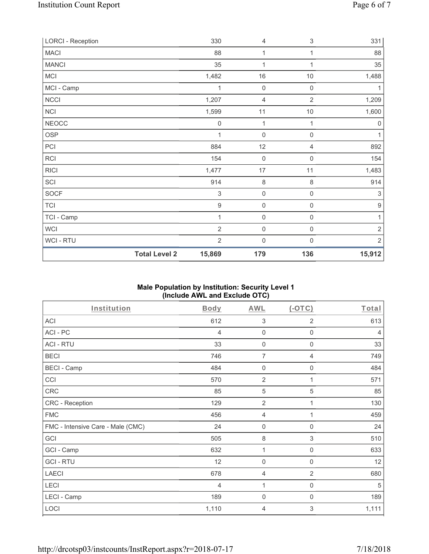| <b>LORCI - Reception</b> |                      | 330              | $\overline{4}$      | $\ensuremath{\mathsf{3}}$ | 331              |
|--------------------------|----------------------|------------------|---------------------|---------------------------|------------------|
| <b>MACI</b>              |                      | 88               | 1                   | 1                         | 88               |
| <b>MANCI</b>             |                      | 35               | 1                   | 1                         | 35               |
| <b>MCI</b>               |                      | 1,482            | 16                  | 10                        | 1,488            |
| MCI - Camp               |                      | 1                | $\mathsf{O}\xspace$ | $\boldsymbol{0}$          | 1                |
| <b>NCCI</b>              |                      | 1,207            | 4                   | $\overline{2}$            | 1,209            |
| NCI                      |                      | 1,599            | 11                  | 10                        | 1,600            |
| <b>NEOCC</b>             |                      | $\mathbf 0$      | $\mathbf{1}$        | 1                         | $\mathbf 0$      |
| <b>OSP</b>               |                      | 1                | $\mathsf{O}\xspace$ | $\mathsf{O}\xspace$       | 1                |
| PCI                      |                      | 884              | 12                  | 4                         | 892              |
| RCI                      |                      | 154              | $\mathbf 0$         | 0                         | 154              |
| <b>RICI</b>              |                      | 1,477            | 17                  | 11                        | 1,483            |
| SCI                      |                      | 914              | $\,8\,$             | 8                         | 914              |
| <b>SOCF</b>              |                      | $\sqrt{3}$       | $\mathsf{O}\xspace$ | $\mathsf{O}\xspace$       | $\sqrt{3}$       |
| <b>TCI</b>               |                      | $\boldsymbol{9}$ | $\mathsf{O}\xspace$ | $\mathsf{O}\xspace$       | $\boldsymbol{9}$ |
| TCI - Camp               |                      | 1                | $\mathsf{O}\xspace$ | $\mathsf{O}\xspace$       | 1                |
| <b>WCI</b>               |                      | $\overline{2}$   | $\mathsf{O}\xspace$ | $\mathsf 0$               | $\sqrt{2}$       |
| WCI - RTU                |                      | $\overline{2}$   | $\mathsf{O}\xspace$ | $\boldsymbol{0}$          | $\sqrt{2}$       |
|                          | <b>Total Level 2</b> | 15,869           | 179                 | 136                       | 15,912           |

## **Male Population by Institution: Security Level 1 (Include AWL and Exclude OTC)**

| Institution                       | Body  | <b>AWL</b>       | $(-OTC)$                  | Total          |
|-----------------------------------|-------|------------------|---------------------------|----------------|
| ACI                               | 612   | 3                | $\overline{2}$            | 613            |
| ACI-PC                            | 4     | $\mathbf 0$      | $\mathbf 0$               | $\overline{4}$ |
| <b>ACI - RTU</b>                  | 33    | 0                | 0                         | 33             |
| <b>BECI</b>                       | 746   | $\overline{7}$   | $\overline{4}$            | 749            |
| <b>BECI - Camp</b>                | 484   | $\boldsymbol{0}$ | $\mathbf 0$               | 484            |
| CCI                               | 570   | $\overline{2}$   | 1                         | 571            |
| CRC                               | 85    | 5                | 5                         | 85             |
| CRC - Reception                   | 129   | $\overline{2}$   | 1                         | 130            |
| <b>FMC</b>                        | 456   | 4                | 1                         | 459            |
| FMC - Intensive Care - Male (CMC) | 24    | $\boldsymbol{0}$ | $\boldsymbol{0}$          | 24             |
| GCI                               | 505   | $\,8\,$          | $\ensuremath{\mathsf{3}}$ | 510            |
| GCI - Camp                        | 632   | 1                | $\boldsymbol{0}$          | 633            |
| <b>GCI-RTU</b>                    | 12    | 0                | $\mathbf 0$               | 12             |
| <b>LAECI</b>                      | 678   | 4                | 2                         | 680            |
| LECI                              | 4     | 1                | $\boldsymbol{0}$          | 5              |
| LECI - Camp                       | 189   | 0                | 0                         | 189            |
| LOCI                              | 1,110 | $\overline{4}$   | 3                         | 1,111          |